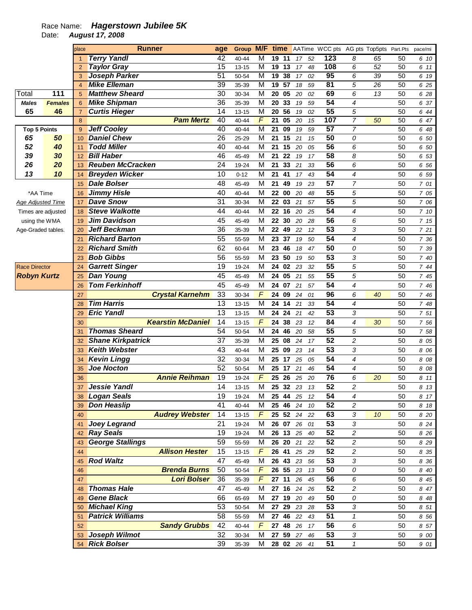## Race Name: **Hagerstown Jubilee 5K**

Date: **August 17, 2008** 

|                          |                | place          | <b>Runner</b>            | age             |           |                         |       |                 |             |    | Group M/F time AATime WCC pts AG pts Top5pts Part.Pts |                         |    |    | pace/mi |
|--------------------------|----------------|----------------|--------------------------|-----------------|-----------|-------------------------|-------|-----------------|-------------|----|-------------------------------------------------------|-------------------------|----|----|---------|
|                          |                | $\mathbf{1}$   | <b>Terry Yandl</b>       | 42              | 40-44     | M                       | 19 11 |                 | 17          | 52 | 123                                                   | 8                       | 65 | 50 | 6 10    |
|                          |                | $\overline{2}$ | <b>Taylor Gray</b>       | $\overline{15}$ | $13 - 15$ | $\overline{M}$          | 19 13 |                 | 17          | 48 | 108                                                   | 6                       | 52 | 50 | 6 11    |
|                          |                | 3              | Joseph Parker            | 51              | 50-54     | $\overline{\mathsf{M}}$ | 19 38 |                 | 17          | 02 | 95                                                    | 6                       | 39 | 50 | 6 19    |
|                          |                | $\overline{4}$ | <b>Mike Elleman</b>      | 39              | 35-39     | $\overline{M}$          | 19    | 57              | 18          | 59 | $\overline{81}$                                       | 5                       | 26 | 50 | 6 25    |
| Total                    | 111            | 5              | <b>Matthew Sheard</b>    | $\overline{30}$ | 30-34     | $\overline{\mathsf{M}}$ | 20    | 05              | 20          | 02 | 69                                                    | 6                       | 13 | 50 | 6 28    |
| <b>Males</b>             | <b>Females</b> | 6              | <b>Mike Shipman</b>      | $\overline{36}$ | 35-39     | M                       | 20    | 33              | 19          | 59 | $\overline{54}$                                       | 4                       |    | 50 | 6 37    |
| 65                       | 46             | $\overline{7}$ | <b>Curtis Hieger</b>     | 14              | $13 - 15$ | $\overline{\mathsf{M}}$ | 20    | 56              | 19          | 02 | 55                                                    | 5                       |    | 50 | 6 44    |
|                          |                | 8              | <b>Pam Mertz</b>         | 40              | 40-44     | $\overline{F}$          | 21    | $\overline{05}$ | 20          | 15 | 107                                                   | $\overline{7}$          | 50 | 50 | 6 47    |
| <b>Top 5 Points</b>      |                | 9              | <b>Jeff Cooley</b>       | 40              | 40-44     | $\overline{\mathsf{M}}$ | 21    | 09              | 19          | 59 | 57                                                    | $\overline{7}$          |    | 50 | 6 48    |
| 65                       | 50             | 10             | <b>Daniel Chew</b>       | $\overline{26}$ | 25-29     | $\overline{\mathsf{M}}$ | 21    | 15              | 21          | 15 | 50                                                    | 0                       |    | 50 | 6 50    |
| 52                       | 40             | 11             | <b>Todd Miller</b>       | 40              | 40-44     | $\overline{\mathsf{M}}$ | 21    | 15              | 20          | 05 | 56                                                    | 6                       |    | 50 | 6 50    |
| 39                       | 30             | 12             | <b>Bill Haber</b>        | 46              | 45-49     | M                       | 21    | 22              | 19          | 17 | 58                                                    | 8                       |    | 50 | 6 53    |
| 26                       | 20             | 13             | <b>Reuben McCracken</b>  | 24              | 19-24     | M                       | 21    | 33              | 21          | 33 | 56                                                    | 6                       |    | 50 | 6 56    |
| 13                       | 10             | 14             | <b>Breyden Wicker</b>    | 10              | $0 - 12$  | M                       | 21    | 41              | 17          | 43 | 54                                                    | 4                       |    | 50 | 6 59    |
|                          |                | 15             | <b>Dale Bolser</b>       | 48              | 45-49     | M                       | 21    | 49              | 19          | 23 | 57                                                    | $\overline{7}$          |    | 50 | 7 01    |
| *AA Time                 |                | 16             | <b>Jimmy Hisle</b>       | 40              | 40-44     | M                       | 22    | 00              | 20          | 48 | 55                                                    | 5                       |    | 50 | 7 05    |
| <b>Age Adjusted Time</b> |                | 17             | <b>Dave Snow</b>         | 31              | 30-34     | M                       | 22    | 03              | 21          | 57 | 55                                                    | 5                       |    | 50 | 7 06    |
| Times are adjusted       |                | 18             | <b>Steve Walkotte</b>    | 44              | 40-44     | M                       | 22    | 16              | 20          | 25 | 54                                                    | 4                       |    | 50 | 7 10    |
| using the WMA            |                | 19             | <b>Jim Davidson</b>      | 45              | 45-49     | M                       | 22    | 30              | 20          | 28 | 56                                                    | 6                       |    | 50 | 7 15    |
| Age-Graded tables.       |                | 20             | <b>Jeff Beckman</b>      | 36              | 35-39     | M                       | 22    | 49              | 22          | 12 | 53                                                    | 3                       |    | 50 | 7 21    |
|                          |                | 21             | <b>Richard Barton</b>    | 55              | 55-59     | M                       | 23    | 37              | 19          | 50 | 54                                                    | 4                       |    | 50 | 7 36    |
|                          |                | 22             | <b>Richard Smith</b>     | 62              | 60-64     | M                       | 23    | 46              | 18          | 47 | 50                                                    | 0                       |    | 50 | 7 39    |
|                          |                | 23             | <b>Bob Gibbs</b>         | 56              | 55-59     | M                       | 23    | 50              | 19          | 50 | 53                                                    | 3                       |    | 50 | 7 40    |
| <b>Race Director</b>     |                | 24             | <b>Garrett Singer</b>    | 19              | 19-24     | M                       | 24    | 02              | 23          | 32 | 55                                                    | 5                       |    | 50 | 7 44    |
| <b>Robyn Kurtz</b>       |                | 25             | <b>Dan Young</b>         | 45              | 45-49     | M                       | 24    | 05              | 21          | 55 | 55                                                    | 5                       |    | 50 | 7 45    |
|                          |                | 26             | <b>Tom Ferkinhoff</b>    | 45              | 45-49     | M                       | 24    | 07              | 21          | 57 | 54                                                    | 4                       |    | 50 | 7 46    |
|                          |                | 27             | <b>Crystal Karnehm</b>   | 33              | 30-34     | F                       | 24    | 09              | 24          | 01 | 96                                                    | 6                       | 40 | 50 | 7 46    |
|                          |                | 28             | <b>Tim Harris</b>        | 13              | $13 - 15$ | M                       | 24    | 14              | 21          | 33 | 54                                                    | 4                       |    | 50 | 7 48    |
|                          |                | 29             | <b>Eric Yandl</b>        | 13              | $13 - 15$ | M                       | 24    | 24              | 21          | 42 | 53                                                    | 3                       |    | 50 | 7 51    |
|                          |                | 30             | <b>Kearstin McDaniel</b> | 14              | $13 - 15$ | F                       | 24    | 38              | 23          | 12 | 84                                                    | 4                       | 30 | 50 | 7 56    |
|                          |                | 31             | <b>Thomas Sheard</b>     | 54              | 50-54     | M                       | 24    | 46              | 20          | 58 | 55                                                    | 5                       |    | 50 | 7 58    |
|                          |                | 32             | <b>Shane Kirkpatrick</b> | 37              | 35-39     | M                       | 25    | 08              | 24          | 17 | 52                                                    | $\overline{c}$          |    | 50 | 8 0 5   |
|                          |                | 33             | <b>Keith Webster</b>     | 43              | 40-44     | M                       | 25    | 09              | 23          | 14 | 53                                                    | 3                       |    | 50 | 8 0 6   |
|                          |                | 34             | <b>Kevin Lingg</b>       | 32              | 30-34     | M                       | 25    | 17              | 25          | 05 | 54                                                    | 4                       |    | 50 | 8 0 8   |
|                          |                | 35             | <b>Joe Nocton</b>        | 52              | 50-54     | M                       | 25    | 17              | 21          | 46 | 54                                                    | 4                       |    | 50 | 8 0 8   |
|                          |                | 36             | <b>Annie Reihman</b>     | 19              | 19-24     | F                       | 25    | 26              | 25          | 20 | 76                                                    | 6                       | 20 | 50 | 8 11    |
|                          |                | 37             | Jessie Yandl             | 14              | 13-15     | M                       | 25    | 32              | 23          | 13 | 52                                                    | $\overline{c}$          |    | 50 | 8 13    |
|                          |                | 38             | <b>Logan Seals</b>       | 19              | 19-24     | M                       | 25    | 44              | 25          | 12 | 54                                                    | 4                       |    | 50 | 8 17    |
|                          |                | 39             | <b>Don Heaslip</b>       | 41              | $40 - 44$ | M                       | 25    | 46              | 24          | 10 | 52                                                    | 2                       |    | 50 | 8 18    |
|                          |                | 40             | <b>Audrey Webster</b>    | 14              | $13 - 15$ | $\boldsymbol{F}$        | 25 52 |                 | 24          | 22 | 63                                                    | 3                       | 10 | 50 | 8 20    |
|                          |                | 41             | <b>Joey Legrand</b>      | 21              | 19-24     | M                       | 26 07 |                 | 26          | 01 | 53                                                    | 3                       |    | 50 | 8 2 4   |
|                          |                | 42             | <b>Ray Seals</b>         | 19              | 19-24     | M                       | 26 13 |                 | 25          | 40 | 52                                                    | $\overline{c}$          |    | 50 | 8 26    |
|                          |                | 43             | <b>George Stallings</b>  | 59              | 55-59     | M                       | 26    | 20              | 21          | 22 | 52                                                    | $\overline{\mathbf{c}}$ |    | 50 | 8 2 9   |
|                          |                | 44             | <b>Allison Hester</b>    | 15              | 13-15     | $\sqrt{ }$              | 26    | 41              | 25          | 29 | 52                                                    | $\overline{\mathbf{c}}$ |    | 50 | 8 35    |
|                          |                | 45             | <b>Rod Waltz</b>         | 47              | 45-49     | M                       | 26    | 43              | 23          | 56 | 53                                                    | 3                       |    | 50 | 8 36    |
|                          |                | 46             | <b>Brenda Burns</b>      | 50              | 50-54     | F                       | 26    | 55              | 23          | 13 | 50                                                    | 0                       |    | 50 | 8 40    |
|                          |                | 47             | <b>Lori Bolser</b>       | 36              | 35-39     | F                       | 27    | 11              | 26          | 45 | 56                                                    | 6                       |    | 50 | 8 45    |
|                          |                | 48             | <b>Thomas Hale</b>       | 47              | 45-49     | M                       | 27 16 |                 | 24          | 26 | 52                                                    | 2                       |    | 50 | 8 47    |
|                          |                | 49             | <b>Gene Black</b>        | 66              | 65-69     | M                       | 27 19 |                 | 20          | 49 | 50                                                    | 0                       |    | 50 | 8 48    |
|                          |                | 50             | <b>Michael King</b>      | 53              | 50-54     | M                       | 27    | 29              | 23          | 28 | 53                                                    | 3                       |    | 50 | 8 51    |
|                          |                | 51             | <b>Patrick Williams</b>  | 58              | 55-59     | M                       | 27    | 46              | 22          | 43 | 51                                                    | $\pmb{\mathcal{1}}$     |    | 50 | 8 5 6   |
|                          |                | 52             | <b>Sandy Grubbs</b>      | 42              | 40-44     | $\sqrt{ }$              | 27    | 48              | 26          | 17 | 56                                                    | 6                       |    | 50 | 8 57    |
|                          |                | 53             | Joseph Wilmot            | 32              | 30-34     | M                       | 27    | 59              | $27\,$      | 46 | 53                                                    | 3                       |    | 50 | 9 00    |
|                          |                | 54             | <b>Rick Bolser</b>       | 39              | 35-39     | M                       |       |                 | 28 02 26 41 |    | 51                                                    | $\mathbf{1}$            |    | 50 | 9 01    |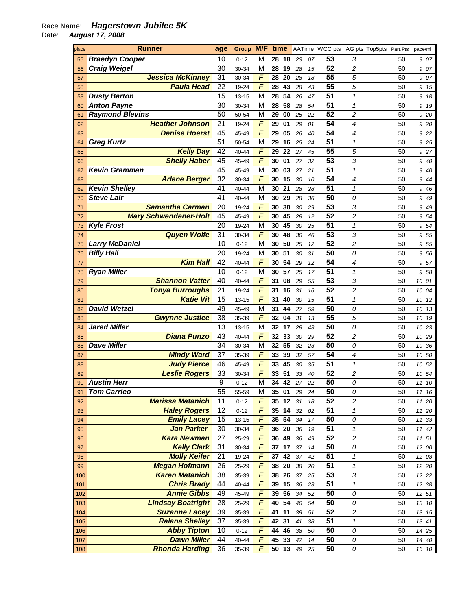## Race Name: **Hagerstown Jubilee 5K**

Date: **August 17, 2008** 

| place | <b>Runner</b>                | age | Group M/F |   | time  |    |    |    | AATime WCC pts AG pts Top5pts Part.Pts |   |    | pace/mi  |
|-------|------------------------------|-----|-----------|---|-------|----|----|----|----------------------------------------|---|----|----------|
| 55    | <b>Braedyn Cooper</b>        | 10  | $0 - 12$  | M | 28    | 18 | 23 | 07 | 53                                     | 3 | 50 | 907      |
| 56    | <b>Craig Weigel</b>          | 30  | 30-34     | M | 28    | 19 | 28 | 15 | 52                                     | 2 | 50 | 907      |
| 57    | <b>Jessica McKinney</b>      | 31  | 30-34     | F | 28    | 20 | 28 | 18 | 55                                     | 5 | 50 | 907      |
| 58    | <b>Paula Head</b>            | 22  | 19-24     | F | 28    | 43 | 28 | 43 | 55                                     | 5 | 50 | 9<br>15  |
| 59    | <b>Dusty Barton</b>          | 15  | 13-15     | M | 28    | 54 | 26 | 47 | 51                                     | 1 | 50 | 9<br>18  |
| 60    | <b>Anton Payne</b>           | 30  | 30-34     | M | 28    | 58 | 28 | 54 | 51                                     | 1 | 50 | 9<br>19  |
| 61    | <b>Raymond Blevins</b>       | 50  | 50-54     | M | 29    | 00 | 25 | 22 | 52                                     | 2 | 50 | 9 20     |
| 62    | <b>Heather Johnson</b>       | 21  | 19-24     | F | 29    | 01 | 29 | 01 | 54                                     | 4 | 50 | 9 20     |
| 63    | <b>Denise Hoerst</b>         | 45  | 45-49     | F | 29    | 05 | 26 | 40 | 54                                     | 4 | 50 | 9 22     |
| 64    | <b>Greg Kurtz</b>            | 51  | 50-54     | M | 29    | 16 | 25 | 24 | 51                                     | 1 | 50 | 9 25     |
| 65    | <b>Kelly Day</b>             | 42  | 40-44     | F | 29    | 22 | 27 | 45 | 55                                     | 5 | 50 | 9 27     |
| 66    | <b>Shelly Haber</b>          | 45  | 45-49     | F | 30    | 01 | 27 | 32 | 53                                     | 3 | 50 | 9<br>40  |
| 67    | <b>Kevin Gramman</b>         | 45  | 45-49     | M | 30    | 03 | 27 | 21 | 51                                     | 1 | 50 | 9<br>40  |
| 68    | <b>Arlene Berger</b>         | 32  | 30-34     | F | 30    | 15 | 30 | 10 | 54                                     | 4 | 50 | 9<br>44  |
| 69    | <b>Kevin Shelley</b>         | 41  | 40-44     | M | 30    | 21 | 28 | 28 | 51                                     | 1 | 50 | 9<br>46  |
| 70    | <b>Steve Lair</b>            | 41  | 40-44     | M | 30    | 29 | 28 | 36 | 50                                     | 0 | 50 | 9<br>49  |
| 71    | <b>Samantha Carman</b>       | 20  | 19-24     | F | 30    | 30 | 30 | 29 | 53                                     | 3 | 50 | 9<br>49  |
| 72    | <b>Mary Schwendener-Holt</b> | 45  | 45-49     | F | 30    | 45 | 28 | 12 | 52                                     | 2 | 50 | 9<br>54  |
| 73    | <b>Kyle Frost</b>            | 20  | 19-24     | M | 30    | 45 | 30 | 25 | 51                                     | 1 | 50 | 9<br>54  |
| 74    | <b>Quyen Wolfe</b>           | 31  | 30-34     | F | 30    | 48 | 30 | 46 | 53                                     | 3 | 50 | 55<br>9  |
| 75    | <b>Larry McDaniel</b>        | 10  | $0 - 12$  | M | 30    | 50 | 25 | 12 | 52                                     | 2 | 50 | 9<br>55  |
| 76    | <b>Billy Hall</b>            | 20  | 19-24     | M | 30    | 51 | 30 | 31 | 50                                     | 0 | 50 | 56<br>9  |
| 77    | <b>Kim Hall</b>              | 42  | 40-44     | F | 30    | 54 | 29 | 12 | 54                                     | 4 | 50 | 957      |
| 78    | <b>Ryan Miller</b>           | 10  | $0 - 12$  | M | 30    | 57 | 25 | 17 | 51                                     | 1 | 50 | 9<br>58  |
| 79    | <b>Shannon Vatter</b>        | 40  | 40-44     | F | 31    | 08 | 29 | 55 | 53                                     | 3 | 50 | 10 01    |
| 80    | <b>Tonya Burroughs</b>       | 21  | 19-24     | F | 31    | 16 | 31 | 16 | 52                                     | 2 | 50 | 10 04    |
| 81    | <b>Katie Vit</b>             | 15  | 13-15     | F | 31    | 40 | 30 | 15 | 51                                     | 1 | 50 | 10<br>12 |
| 82    | <b>David Wetzel</b>          | 49  | 45-49     | M | 31    | 44 | 27 | 59 | 50                                     | 0 | 50 | 10<br>13 |
| 83    | <b>Gwynne Justice</b>        | 38  | 35-39     | F | 32    | 04 | 31 | 13 | 55                                     | 5 | 50 | 10 19    |
| 84    | <b>Jared Miller</b>          | 13  | 13-15     | M | 32    | 17 | 28 | 43 | 50                                     | 0 | 50 | 10 23    |
| 85    | <b>Diana Punzo</b>           | 43  | 40-44     | F | 32    | 33 | 30 | 29 | 52                                     | 2 | 50 | 10 29    |
| 86    | <b>Dave Miller</b>           | 34  | 30-34     | M | 32    | 55 | 32 | 23 | 50                                     | 0 | 50 | 10<br>36 |
| 87    | <b>Mindy Ward</b>            | 37  | 35-39     | F | 33    | 39 | 32 | 57 | 54                                     | 4 | 50 | 10 50    |
| 88    | <b>Judy Pierce</b>           | 46  | 45-49     | F | 33    | 45 | 30 | 35 | 51                                     | 1 | 50 | 10 52    |
| 89    | <b>Leslie Rogers</b>         | 33  | 30-34     | F | 33    | 51 | 33 | 40 | 52                                     | 2 | 50 | 10<br>54 |
| 90    | <b>Austin Herr</b>           | 9   | $0 - 12$  | M | 34    | 42 | 27 | 22 | 50                                     | 0 | 50 | 11 10    |
| 91    | <b>Tom Carrico</b>           | 55  | 55-59     | M | 35    | 01 | 29 | 24 | 50                                     | 0 | 50 | 11 16    |
| 92    | <b>Marissa Matanich</b>      | 11  | $0 - 12$  | F | 35 12 |    | 31 | 18 | 52                                     | 2 | 50 | 11 20    |
| 93    | <b>Haley Rogers</b>          | 12  | $0 - 12$  | F | 35 14 |    | 32 | 02 | 51                                     | 1 | 50 | 11 20    |
| 94    | <b>Emily Lacey</b>           | 15  | 13-15     | F | 35 54 |    | 34 | 17 | 50                                     | 0 | 50 | 11 33    |
| 95    | <b>Jan Parker</b>            | 30  | 30-34     | F | 36 20 |    | 36 | 19 | 51                                     | 1 | 50 | 11<br>42 |
| 96    | <b>Kara Newman</b>           | 27  | 25-29     | F | 36 49 |    | 36 | 49 | 52                                     | 2 | 50 | 11 51    |
| 97    | <b>Kelly Clark</b>           | 31  | 30-34     | F | 37 17 |    | 37 | 14 | 50                                     | 0 | 50 | 12 00    |
| 98    | <b>Molly Keifer</b>          | 21  | 19-24     | F | 37    | 42 | 37 | 42 | 51                                     | 1 | 50 | 12 08    |
| 99    | <b>Megan Hofmann</b>         | 26  | 25-29     | F | 38    | 20 | 38 | 20 | 51                                     | 1 | 50 | 12 20    |
| 100   | <b>Karen Matanich</b>        | 38  | 35-39     | F | 38    | 26 | 37 | 25 | 53                                     | 3 | 50 | 12 22    |
| 101   | <b>Chris Brady</b>           | 44  | 40-44     | F | 39    | 15 | 36 | 23 | 51                                     | 1 | 50 | 12 38    |
| 102   | <b>Annie Gibbs</b>           | 49  | 45-49     | F | 39    | 56 | 34 | 52 | 50                                     | 0 | 50 | 12 51    |
| 103   | <b>Lindsay Boatright</b>     | 28  | 25-29     | F | 40 54 |    | 40 | 54 | 50                                     | 0 | 50 | 13 10    |
| 104   | <b>Suzanne Lacey</b>         | 39  | 35-39     | F | 41    | 11 | 39 | 51 | 52                                     | 2 | 50 | 13 15    |
| 105   | <b>Ralana Shelley</b>        | 37  | 35-39     | F | 42    | 31 | 41 | 38 | 51                                     | 1 | 50 | 13 41    |
| 106   | <b>Abby Tipton</b>           | 10  | $0 - 12$  | F | 44    | 46 | 38 | 50 | 50                                     | 0 | 50 | 14 25    |
| 107   | <b>Dawn Miller</b>           | 44  | 40-44     | F | 45    | 33 | 42 | 14 | 50                                     | 0 | 50 | 14 40    |
| 108   | <b>Rhonda Harding</b>        | 36  | 35-39     | F | 50 13 |    | 49 | 25 | 50                                     | 0 | 50 | 16 10    |